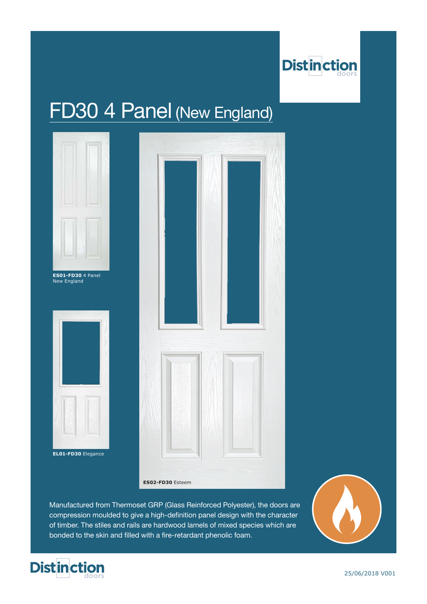

# FD30 4 Panel (New England)



**EL01-FD30** Elegance



**ES02-FD30** Esteem

Manufactured from Thermoset GRP (Glass Reinforced Polyester), the doors are compression moulded to give a high-definition panel design with the character of timber. The stiles and rails are hardwood lamels of mixed species which are bonded to the skin and filled with a fire-retardant phenolic foam.



25/06/2018 V001